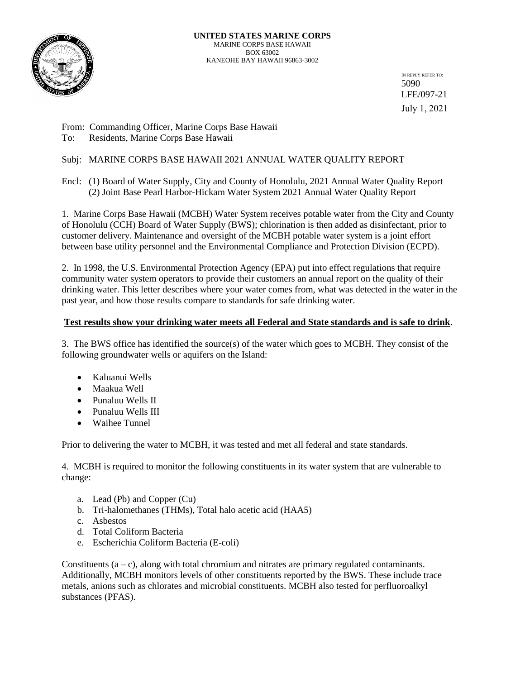

IN REPLY REFER TO: 5090 LFE/097-21 July 1, 2021

From: Commanding Officer, Marine Corps Base Hawaii To: Residents, Marine Corps Base Hawaii

# Subj: MARINE CORPS BASE HAWAII 2021 ANNUAL WATER QUALITY REPORT

Encl: (1) Board of Water Supply, City and County of Honolulu, 2021 Annual Water Quality Report (2) Joint Base Pearl Harbor-Hickam Water System 2021 Annual Water Quality Report

1. Marine Corps Base Hawaii (MCBH) Water System receives potable water from the City and County of Honolulu (CCH) Board of Water Supply (BWS); chlorination is then added as disinfectant, prior to customer delivery. Maintenance and oversight of the MCBH potable water system is a joint effort between base utility personnel and the Environmental Compliance and Protection Division (ECPD).

2. In 1998, the U.S. Environmental Protection Agency (EPA) put into effect regulations that require community water system operators to provide their customers an annual report on the quality of their drinking water. This letter describes where your water comes from, what was detected in the water in the past year, and how those results compare to standards for safe drinking water.

# **Test results show your drinking water meets all Federal and State standards and is safe to drink**.

3. The BWS office has identified the source(s) of the water which goes to MCBH. They consist of the following groundwater wells or aquifers on the Island:

- Kaluanui Wells
- Maakua Well
- Punaluu Wells II
- Punaluu Wells III
- Waihee Tunnel

Prior to delivering the water to MCBH, it was tested and met all federal and state standards.

4. MCBH is required to monitor the following constituents in its water system that are vulnerable to change:

- a. Lead (Pb) and Copper (Cu)
- b. Tri-halomethanes (THMs), Total halo acetic acid (HAA5)
- c. Asbestos
- d. Total Coliform Bacteria
- e. Escherichia Coliform Bacteria (E-coli)

Constituents  $(a - c)$ , along with total chromium and nitrates are primary regulated contaminants. Additionally, MCBH monitors levels of other constituents reported by the BWS. These include trace metals, anions such as chlorates and microbial constituents. MCBH also tested for perfluoroalkyl substances (PFAS).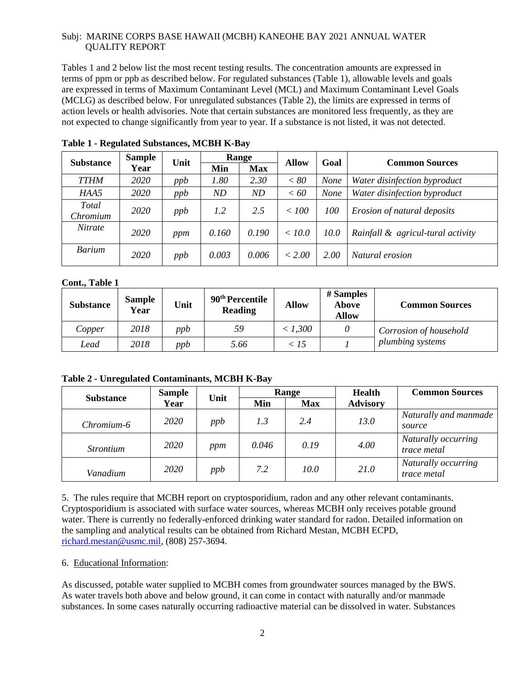Tables 1 and 2 below list the most recent testing results. The concentration amounts are expressed in terms of ppm or ppb as described below. For regulated substances (Table 1), allowable levels and goals are expressed in terms of Maximum Contaminant Level (MCL) and Maximum Contaminant Level Goals (MCLG) as described below. For unregulated substances (Table 2), the limits are expressed in terms of action levels or health advisories. Note that certain substances are monitored less frequently, as they are not expected to change significantly from year to year. If a substance is not listed, it was not detected.

| <b>Substance</b>  | <b>Sample</b> | Unit |       | Range      | <b>Allow</b> | Goal        | <b>Common Sources</b>             |
|-------------------|---------------|------|-------|------------|--------------|-------------|-----------------------------------|
|                   | Year          |      | Min   | <b>Max</b> |              |             |                                   |
| <b>TTHM</b>       | 2020          | ppb  | 1.80  | 2.30       | < 80         | <b>None</b> | Water disinfection byproduct      |
| HAA5              | 2020          | ppb  | ND    | ND         | < 60         | <b>None</b> | Water disinfection byproduct      |
| Total<br>Chromium | 2020          | ppb  | 1.2   | 2.5        | < 100        | 100         | Erosion of natural deposits       |
| <i>Nitrate</i>    |               |      |       |            |              |             |                                   |
|                   | 2020          | ppm  | 0.160 | 0.190      | < 10.0       | 10.0        | Rainfall & agricul-tural activity |
| <b>Barium</b>     | 2020          | ppb  | 0.003 | 0.006      | < 2.00       | 2.00        | Natural erosion                   |

**Table 1 - Regulated Substances, MCBH K-Bay** 

# **Cont., Table 1**

| <b>Substance</b> | <b>Sample</b><br>Year | Unit | 90 <sup>th</sup> Percentile<br><b>Reading</b> | <b>Allow</b> | # Samples<br><b>Above</b><br><b>Allow</b> | <b>Common Sources</b>  |
|------------------|-----------------------|------|-----------------------------------------------|--------------|-------------------------------------------|------------------------|
| Copper           | 2018                  | ppb  | 59                                            | < 1,300      |                                           | Corrosion of household |
| Lead             | 2018                  | ppb  | 5.66                                          | < 15         |                                           | plumbing systems       |

**Table 2 - Unregulated Contaminants, MCBH K-Bay** 

| <b>Substance</b> | <b>Sample</b> | Unit |       | Range      | <b>Health</b>   | <b>Common Sources</b>              |
|------------------|---------------|------|-------|------------|-----------------|------------------------------------|
|                  | Year          |      | Min   | <b>Max</b> | <b>Advisory</b> |                                    |
| Chromium-6       | 2020          | ppb  | 1.3   | 2.4        | 13.0            | Naturally and manmade<br>source    |
| <i>Strontium</i> | 2020          | ppm  | 0.046 | 0.19       | 4.00            | Naturally occurring<br>trace metal |
| Vanadium         | 2020          | ppb  | 7.2   | 10.0       | 21.0            | Naturally occurring<br>trace metal |

5. The rules require that MCBH report on cryptosporidium, radon and any other relevant contaminants. Cryptosporidium is associated with surface water sources, whereas MCBH only receives potable ground water. There is currently no federally-enforced drinking water standard for radon. Detailed information on the sampling and analytical results can be obtained from Richard Mestan, MCBH ECPD, [richard.mestan@usmc.mil,](mailto:richard.mestan@usmc.mil) (808) 257-3694.

6. Educational Information:

As discussed, potable water supplied to MCBH comes from groundwater sources managed by the BWS. As water travels both above and below ground, it can come in contact with naturally and/or manmade substances. In some cases naturally occurring radioactive material can be dissolved in water. Substances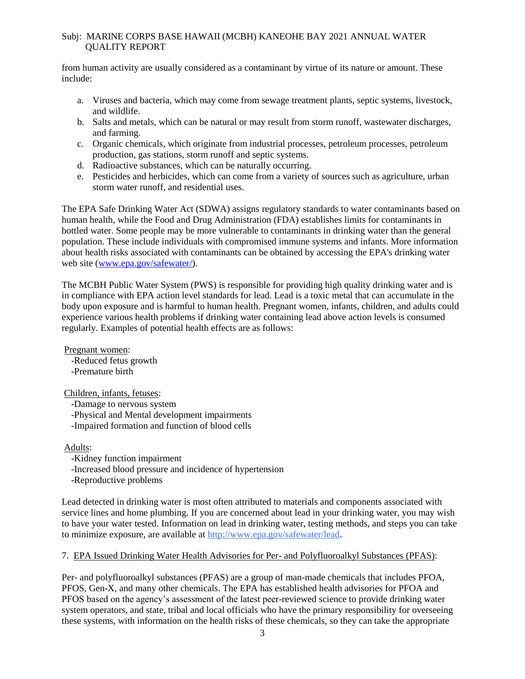from human activity are usually considered as a contaminant by virtue of its nature or amount. These include:

- a. Viruses and bacteria, which may come from sewage treatment plants, septic systems, livestock, and wildlife.
- b. Salts and metals, which can be natural or may result from storm runoff, wastewater discharges, and farming.
- c. Organic chemicals, which originate from industrial processes, petroleum processes, petroleum production, gas stations, storm runoff and septic systems.
- d. Radioactive substances, which can be naturally occurring.
- e. Pesticides and herbicides, which can come from a variety of sources such as agriculture, urban storm water runoff, and residential uses.

The EPA Safe Drinking Water Act (SDWA) assigns regulatory standards to water contaminants based on human health, while the Food and Drug Administration (FDA) establishes limits for contaminants in bottled water. Some people may be more vulnerable to contaminants in drinking water than the general population. These include individuals with compromised immune systems and infants. More information about health risks associated with contaminants can be obtained by accessing the EPA's drinking water web site [\(www.epa.gov/safewater/\)](http://www.epa.gov/safewater/).

The MCBH Public Water System (PWS) is responsible for providing high quality drinking water and is in compliance with EPA action level standards for lead. Lead is a toxic metal that can accumulate in the body upon exposure and is harmful to human health. Pregnant women, infants, children, and adults could experience various health problems if drinking water containing lead above action levels is consumed regularly. Examples of potential health effects are as follows:

Pregnant women: -Reduced fetus growth -Premature birth

Children, infants, fetuses:

-Damage to nervous system -Physical and Mental development impairments -Impaired formation and function of blood cells

Adults:

-Kidney function impairment -Increased blood pressure and incidence of hypertension -Reproductive problems

Lead detected in drinking water is most often attributed to materials and components associated with service lines and home plumbing. If you are concerned about lead in your drinking water, you may wish to have your water tested. Information on lead in drinking water, testing methods, and steps you can take to minimize exposure, are available at [http://www.epa.gov/safewater/lead.](http://www.epa.gov/safewater/lead)

# 7. EPA Issued Drinking Water Health Advisories for Per- and Polyfluoroalkyl Substances (PFAS):

Per- and polyfluoroalkyl substances (PFAS) are a group of man-made chemicals that includes PFOA, PFOS, Gen-X, and many other chemicals. The EPA has established health advisories for PFOA and PFOS based on the agency's assessment of the latest peer-reviewed science to provide drinking water system operators, and state, tribal and local officials who have the primary responsibility for overseeing these systems, with information on the health risks of these chemicals, so they can take the appropriate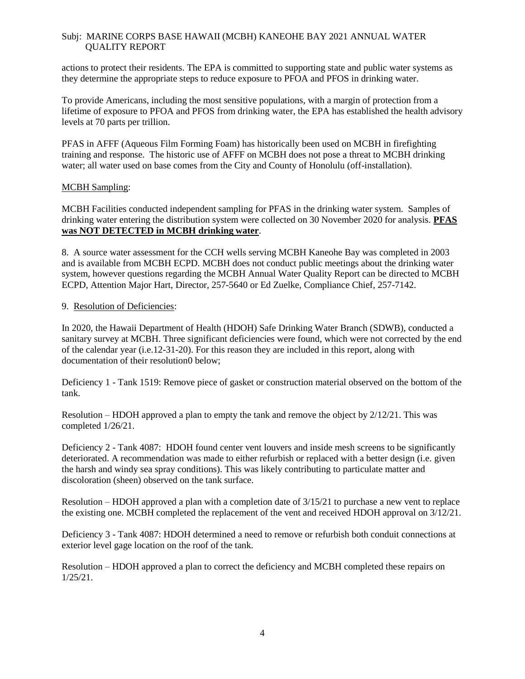actions to protect their residents. The EPA is committed to supporting state and public water systems as they determine the appropriate steps to reduce exposure to PFOA and PFOS in drinking water.

To provide Americans, including the most sensitive populations, with a margin of protection from a lifetime of exposure to PFOA and PFOS from drinking water, the EPA has established the health advisory levels at 70 parts per trillion.

PFAS in AFFF (Aqueous Film Forming Foam) has historically been used on MCBH in firefighting training and response. The historic use of AFFF on MCBH does not pose a threat to MCBH drinking water; all water used on base comes from the City and County of Honolulu (off-installation).

# MCBH Sampling:

MCBH Facilities conducted independent sampling for PFAS in the drinking water system. Samples of drinking water entering the distribution system were collected on 30 November 2020 for analysis. **PFAS was NOT DETECTED in MCBH drinking water**.

8. A source water assessment for the CCH wells serving MCBH Kaneohe Bay was completed in 2003 and is available from MCBH ECPD. MCBH does not conduct public meetings about the drinking water system, however questions regarding the MCBH Annual Water Quality Report can be directed to MCBH ECPD, Attention Major Hart, Director, 257-5640 or Ed Zuelke, Compliance Chief, 257-7142.

# 9. Resolution of Deficiencies:

In 2020, the Hawaii Department of Health (HDOH) Safe Drinking Water Branch (SDWB), conducted a sanitary survey at MCBH. Three significant deficiencies were found, which were not corrected by the end of the calendar year (i.e.12-31-20). For this reason they are included in this report, along with documentation of their resolution0 below;

Deficiency 1 - Tank 1519: Remove piece of gasket or construction material observed on the bottom of the tank.

Resolution – HDOH approved a plan to empty the tank and remove the object by 2/12/21. This was completed 1/26/21.

Deficiency 2 - Tank 4087: HDOH found center vent louvers and inside mesh screens to be significantly deteriorated. A recommendation was made to either refurbish or replaced with a better design (i.e. given the harsh and windy sea spray conditions). This was likely contributing to particulate matter and discoloration (sheen) observed on the tank surface.

Resolution – HDOH approved a plan with a completion date of 3/15/21 to purchase a new vent to replace the existing one. MCBH completed the replacement of the vent and received HDOH approval on 3/12/21.

Deficiency 3 - Tank 4087: HDOH determined a need to remove or refurbish both conduit connections at exterior level gage location on the roof of the tank.

Resolution – HDOH approved a plan to correct the deficiency and MCBH completed these repairs on 1/25/21.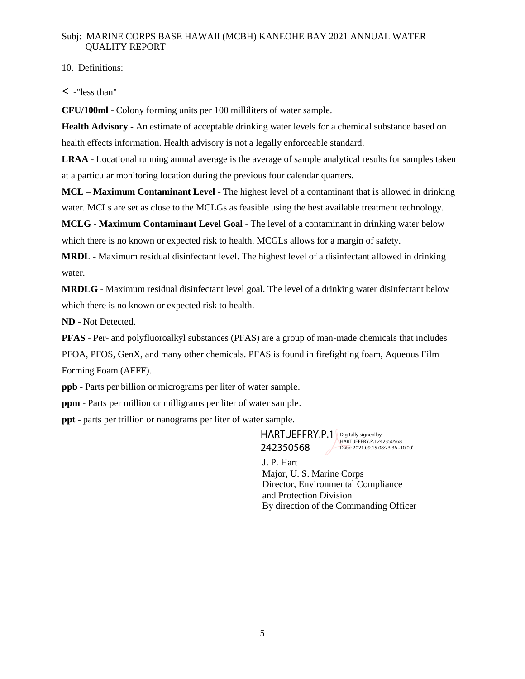# 10. Definitions:

**< -**"less than"

**CFU/100ml** - Colony forming units per 100 milliliters of water sample.

**Health Advisory -** An estimate of acceptable drinking water levels for a chemical substance based on health effects information. Health advisory is not a legally enforceable standard.

**LRAA** - Locational running annual average is the average of sample analytical results for samples taken at a particular monitoring location during the previous four calendar quarters.

**MCL – Maximum Contaminant Level** - The highest level of a contaminant that is allowed in drinking water. MCLs are set as close to the MCLGs as feasible using the best available treatment technology.

**MCLG - Maximum Contaminant Level Goal** - The level of a contaminant in drinking water below which there is no known or expected risk to health. MCGLs allows for a margin of safety.

**MRDL** - Maximum residual disinfectant level. The highest level of a disinfectant allowed in drinking water.

**MRDLG** - Maximum residual disinfectant level goal. The level of a drinking water disinfectant below which there is no known or expected risk to health.

**ND** - Not Detected.

**PFAS** - Per- and polyfluoroalkyl substances (PFAS) are a group of man-made chemicals that includes

PFOA, PFOS, GenX, and many other chemicals. PFAS is found in firefighting foam, Aqueous Film Forming Foam (AFFF).

**ppb** - Parts per billion or micrograms per liter of water sample.

**ppm** - Parts per million or milligrams per liter of water sample.

**ppt** - parts per trillion or nanograms per liter of water sample.

HART.JEFFRY.P.1 Digitally signed by 242350568

HART.JEFFRY.P.1242350568 Date: 2021.09.15 08:23:36 -10'00'

J. P. Hart Major, U. S. Marine Corps Director, Environmental Compliance and Protection Division By direction of the Commanding Officer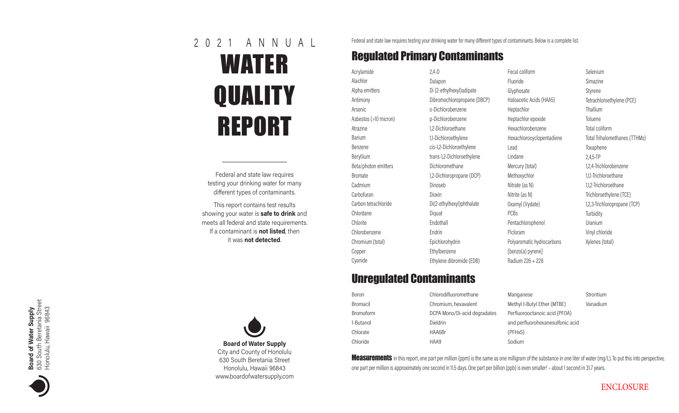# WATER **QUALITY** REPORT 2 0 2 1 A N N U A L

Federal and state law requires testing your drinking water for many different types of contaminants.

This report contains test results showing your water is safe to drink and meets all federal and state requirements. If a contaminant is **not listed**, then it was not detected. .



Federal and state law requires testing your drinking water for many different types of contaminants. Below is a complete list.

# Regulated Primary Contaminants

| Acrylamide            | 2,4-D            |
|-----------------------|------------------|
| Alachlor              | Dalap            |
| Alpha emitters        | Di (2-           |
| Antimony              | Dibro            |
| Arsenic               | o-Dic            |
| Asbestos (>10 micron) | p-Dic            |
| Atrazine              | $1,2-Di$         |
| <b>Barium</b>         | 1,1-Dic          |
| Benzene               | $cis-1,2$        |
| Beryllium             | trans-           |
| Beta/photon emitters  | Dichlo           |
| <b>Bromate</b>        | $1,2-Di$         |
| Cadmium               | Dinos            |
| Carbofuran            | Dioxir           |
| Carbon tetrachloride  | $Di(2-\epsilon)$ |
| Chlordane             | Diqua            |
| Chlorite              | Endot            |
| Chlorobenzene         | Endri            |
| Chromium (total)      | Epich            |
| Copper                | Ethyll           |
| Cyanide               | <b>Ethyle</b>    |

Dalapon Di (2-ethylhexyl)adipate Dibromochloropropane (DBCP) o-Dichlorobenzene p-Dichlorobenzene 1,2-Dichloroethane 1,1-Dichloroethylene cis-1,2-Dichloroethylene rans-1,2-Dichloroethylene Dichloromethane 1,2-Dichloropropane (DCP) Dinoseb Dioxin Di(2-ethylhexyl)phthalate )iquat Endothall Endrin Epichlorohydrin Ethylbenzene Ethylene dibromide (EDB)

Fecal coliform Fluoride Glyphosate Haloacetic Acids (HAA5) Heptachlor Heptachlor epoxide Hexachlorobenzene Hexachlorocyclopentadiene Lead Lindane Mercury (total) Methoxychlor Nitrate (as N) Nitrite (as N) Oxamyl (Vydate) PCBs Pentachlorophenol Picloram Polyaromatic hydrocarbons [benzo(a) pyrene] Radium 226 + 228

Selenium Simazine Styrene Tetrachloroethylene (PCE) Thallium **Toluene** Total coliform Total Trihalomethanes (TTHMs) **Toxaphene** 2,4,5-TP 1,2,4-Trichlorobenzene 1,1,1-Trichloroethane 1,1,2-Trichloroethane Trichloroethylene (TCE) 1,2,3-Trichloropropane (TCP) **Turbidity** Uranium Vinyl chloride Xylenes (total)

# Unregulated Contaminants

| Boron            | Chlorodifluoromethane        | Manganese                        | Strontium |
|------------------|------------------------------|----------------------------------|-----------|
| Bromacil         | Chromium, hexavalent         | Methyl t-Butyl Ether (MTBE)      | Vanadium  |
| <b>Bromoform</b> | DCPA Mono/Di-acid degradates | Perfluorooctanoic acid (PFOA)    |           |
| 1-Butanol        | <b>Dieldrin</b>              | and perfluorohexanesulfonic acid |           |
| Chlorate         | HAA6Br                       | (PFHxS)                          |           |
| Chloride         | HAA9                         | Sodium                           |           |

**Measurements** in this report, one part per million (ppm) is the same as one milligram of the substance in one liter of water (mg/L). To put this into perspective, one part per million is approximately one second in 11.5 days. One part per billion (ppb) is even smaller! – about 1 second in 31.7 years.



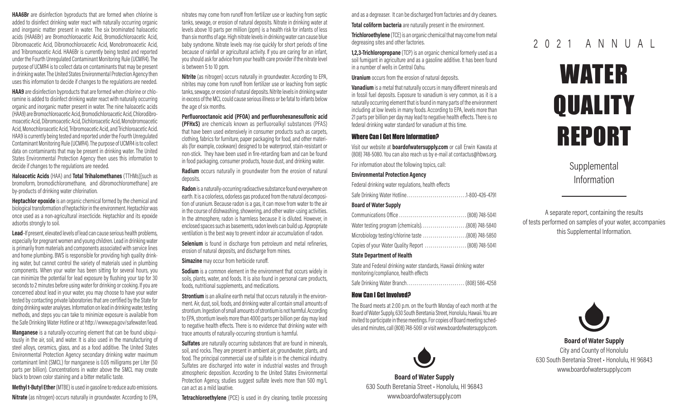**HAA6Br** are disinfection byproducts that are formed when chlorine is added to disinfect drinking water react with naturally occurring organic and inorganic matter present in water. The six brominated haloacetic acids (HAA6Br) are Bromochloroacetic Acid, Bromodichloroacetic Acid, Dibromoacetic Acid, Dibromochloroacetic Acid, Monobromoacetic Acid, and Tribromoacetic Acid. HAA6Br is currently being tested and reported under the Fourth Unregulated Contaminant Monitoring Rule (UCMR4). The purpose of UCMR4 is to collect data on contaminants that may be present in drinking water. The United States Environmental Protection Agency then uses this information to decide if changes to the regulations are needed.

HAA9 are disinfection byproducts that are formed when chlorine or chloramine is added to disinfect drinking water react with naturally occurring organic and inorganic matter present in water. The nine haloacetic acids (HAA9) are Bromochloroacetic Acid, Bromodichloroacetic Acid, Chlorodibromoacetic Acid, Dibromoacetic Acid, Dichloroacetic Acid, Monobromoacetic Acid, Monochloroacetic Acid, Tribromoacetic Acid, and Trichloroacetic Acid. HAA9 is currently being tested and reported under the Fourth Unregulated Contaminant Monitoring Rule (UCMR4). The purpose of UCMR4 is to collect data on contaminants that may be present in drinking water. The United States Environmental Protection Agency then uses this information to decide if changes to the regulations are needed.

Haloacetic Acids (HAA) and Total Trihalomethanes (TTHMs)[such as bromoform, bromodichloromethane, and dibromochloromethane] are by-products of drinking water chlorination.

Heptachlor epoxide is an organic chemical formed by the chemical and biological transformation of heptachlor in the environment. Heptachlor was once used as a non-agricultural insecticide. Heptachlor and its epoxide adsorbs strongly to soil.

Lead–If present, elevated levels of lead can cause serious health problems, especially for pregnant women and young children. Lead in drinking water is primarily from materials and components associated with service lines and home plumbing. BWS is responsible for providing high quality drinking water, but cannot control the variety of materials used in plumbing components. When your water has been sitting for several hours, you can minimize the potential for lead exposure by flushing your tap for 30 seconds to 2 minutes before using water for drinking or cooking. If you are concerned about lead in your water, you may choose to have your water tested by contacting private laboratories that are certified by the State for doing drinking water analyses. Information on lead in drinking water, testing methods, and steps you can take to minimize exposure is available from the Safe Drinking Water Hotline or at http://www.epa.gov/safewater/lead.

Manganese is a naturally-occurring element that can be found ubiquitously in the air, soil, and water. It is also used in the manufacturing of steel alloys, ceramics, glass, and as a food additive. The United States Environmental Protection Agency secondary drinking water maximum contaminant limit (SMCL) for manganese is 0.05 milligrams per Liter (50 parts per billion). Concentrations in water above the SMCL may create black to brown color staining and a bitter metallic taste.

Methyl t-Butyl Ether (MTBE) is used in gasoline to reduce auto emissions. **Nitrate** (as nitrogen) occurs naturally in groundwater. According to EPA,

nitrates may come from runoff from fertilizer use or leaching from septic tanks, sewage, or erosion of natural deposits. Nitrate in drinking water at levels above 10 parts per million (ppm) is a health risk for infants of less than six months of age. High nitrate levels in drinking water can cause blue baby syndrome. Nitrate levels may rise quickly for short periods of time because of rainfall or agricultural activity. If you are caring for an infant, you should ask for advice from your health care provider if the nitrate level is between 5 to 10 ppm.

Nitrite (as nitrogen) occurs naturally in groundwater. According to EPA, nitrites may come from runoff from fertilizer use or leaching from septic tanks, sewage, or erosion of natural deposits. Nitrite levels in drinking water in excess of the MCL could cause serious illness or be fatal to infants below the age of six months.

Perfluorooctanoic acid (PFOA) and perfluorohexanesulfonic acid (PFHxS) are chemicals known as perfluoroalkyl substances (PFAS) that have been used extensively in consumer products such as carpets, clothing, fabrics for furniture, paper packaging for food, and other materials (for example, cookware) designed to be waterproof, stain-resistant or non-stick. They have been used in fire-retarding foam and can be found in food packaging, consumer products, house dust, and drinking water.

Radium occurs naturally in groundwater from the erosion of natural deposits.

Radon is a naturally-occurring radioactive substance found everywhere on earth. It is a colorless, odorless gas produced from the natural decomposition of uranium. Because radon is a gas, it can move from water to the air in the course of dishwashing, showering, and other water-using activities. In the atmosphere, radon is harmless because it is diluted. However, in enclosed spaces such as basements, radon levels can build up. Appropriate ventilation is the best way to prevent indoor air accumulation of radon.

Selenium is found in discharge from petroleum and metal refineries. erosion of natural deposits, and discharge from mines.

Simazine may occur from herbicide runoff.

Sodium is a common element in the environment that occurs widely in soils, plants, water, and foods. It is also found in personal care products, foods, nutritional supplements, and medications.

**Strontium** is an alkaline earth metal that occurs naturally in the environment. Air, dust, soil, foods, and drinking water all contain small amounts of strontium. Ingestion of small amounts of strontium is not harmful. According to EPA, strontium levels more than 4000 parts per billion per day may lead to negative health effects. There is no evidence that drinking water with trace amounts of naturally-occurring strontium is harmful.

**Sulfates** are naturally occurring substances that are found in minerals, soil, and rocks. They are present in ambient air, groundwater, plants, and food. The principal commercial use of sulfate is in the chemical industry. Sulfates are discharged into water in industrial wastes and through atmospheric deposition. According to the United States Environmental Protection Agency, studies suggest sulfate levels more than 500 mg/L can act as a mild laxative.

**Tetrachloroethylene** (PCE) is used in dry cleaning, textile processing

and as a degreaser. It can be discharged from factories and dry cleaners. Total coliform bacteria are naturally present in the environment.

**Trichloroethylene** (TCE) is an organic chemical that may come from metal degreasing sites and other factories.

1,2,3-Trichloropropane (TCP) is an organic chemical formerly used as a soil fumigant in agriculture and as a gasoline additive. It has been found in a number of wells in Central Oahu.

Uranium occurs from the erosion of natural deposits.

Vanadium is a metal that naturally occurs in many different minerals and in fossil fuel deposits. Exposure to vanadium is very common, as it is a naturally occurring element that is found in many parts of the environment including at low levels in many foods. According to EPA, levels more than 21 parts per billion per day may lead to negative health effects. There is no federal drinking water standard for vanadium at this time.

# Where Can I Get More Information?

Visit our website at boardofwatersupply.com or call Erwin Kawata at (808) 748-5080. You can also reach us by e-mail at contactus@hbws.org.

For information about the following topics, call:

# Environmental Protection Agency

| Federal drinking water regulations, health effects |  |
|----------------------------------------------------|--|
|----------------------------------------------------|--|

|--|--|

# Board of Water Supply

| Microbiology testing/chlorine taste (808) 748-5850 |  |
|----------------------------------------------------|--|
|                                                    |  |

# State Department of Health

State and Federal drinking water standards, Hawaii drinking water monitoring/compliance, health effects

Safe Drinking Water Branch.............................. (808) 586-4258

# How Can I Get Involved?

The Board meets at 2:00 p.m. on the fourth Monday of each month at the Board of Water Supply, 630 South Beretania Street, Honolulu, Hawaii. You are invited to participate in these meetings. For copies of Board meeting schedules and minutes, call (808) 748-5061 or visit www.boardofwatersupply.com.



Board of Water Supply 630 South Beretania Street • Honolulu, HI 96843 www.boardofwatersupply.com

# 2 0 2 1 A N N U A L

# WATER **QUALITY** REPORT

Supplemental Information

A separate report, containing the results of tests performed on samples of your water, accompanies this Supplemental Information.



Board of Water Supply City and County of Honolulu 630 South Beretania Street • Honolulu, HI 96843 www.boardofwatersupply.com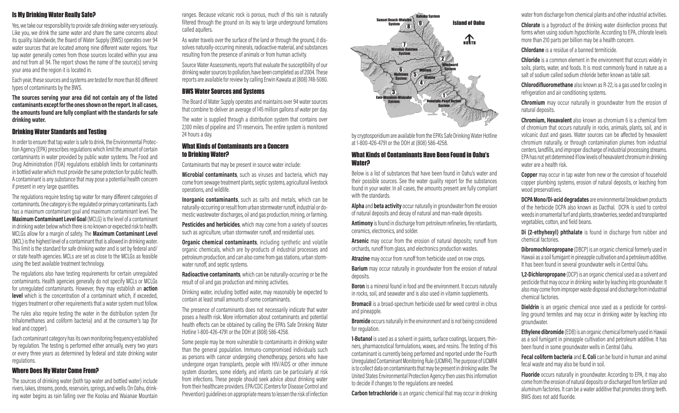# Is My Drinking Water Really Safe?

Yes, we take our responsibility to provide safe drinking water very seriously. Like you, we drink the same water and share the same concerns about its quality. Islandwide, the Board of Water Supply (BWS) operates over 94 water sources that are located among nine different water regions. Your tap water generally comes from those sources located within your area and not from all 94. The report shows the name of the source(s) serving your area and the region it is located in.

Each year, these sources and systems are tested for more than 80 different types of contaminants by the BWS.

The sources serving your area did not contain any of the listed contaminants except for the ones shown on the report. In all cases, the amounts found are fully compliant with the standards for safe drinking water.

# Drinking Water Standards and Testing

In order to ensure that tap water is safe to drink, the Environmental Protection Agency (EPA) prescribes regulations which limit the amount of certain contaminants in water provided by public water systems. The Food and Drug Administration (FDA) regulations establish limits for contaminants in bottled water which must provide the same protection for public health. A contaminant is any substance that may pose a potential health concern if present in very large quantities.

The regulations require testing tap water for many different categories of contaminants. One category is the regulated or primary contaminants. Each has a maximum contaminant goal and maximum contaminant level. The Maximum Contaminant Level Goal (MCLG) is the level of a contaminant in drinking water below which there is no known or expected risk to health. MCLGs allow for a margin of safety. The **Maximum Contaminant Level** (MCL) is the highest level of a contaminant that is allowed in drinking water. This limit is the standard for safe drinking water and is set by federal and/ or state health agencies. MCLs are set as close to the MCLGs as feasible using the best available treatment technology.

The regulations also have testing requirements for certain unregulated contaminants. Health agencies generally do not specify MCLs or MCLGs for unregulated contaminants. However, they may establish an **action level** which is the concentration of a contaminant which, if exceeded, triggers treatment or other requirements that a water system must follow.

The rules also require testing the water in the distribution system (for trihalomethanes and coliform bacteria) and at the consumer's tap (for lead and copper).

Each contaminant category has its own monitoring frequency established by regulation. The testing is performed either annually, every two years or every three years as determined by federal and state drinking water regulations.

# Where Does My Water Come From?

The sources of drinking water (both tap water and bottled water) include rivers, lakes, streams, ponds, reservoirs, springs, and wells. On Oahu, drinking water begins as rain falling over the Koolau and Waianae Mountain

ranges. Because volcanic rock is porous, much of this rain is naturally filtered through the ground on its way to large underground formations called aquifers.

As water travels over the surface of the land or through the ground, it dissolves naturally-occurring minerals, radioactive material, and substances resulting from the presence of animals or from human activity.

Source Water Assessments, reports that evaluate the susceptibility of our drinking water sources to pollution, have been completed as of 2004. These reports are available for review by calling Erwin Kawata at (808) 748-5080.

# BWS Water Sources and Systems

The Board of Water Supply operates and maintains over 94 water sources that combine to deliver an average of 145 million gallons of water per day.

The water is supplied through a distribution system that contains over 2,100 miles of pipeline and 171 reservoirs. The entire system is monitored 24 hours a day.

# What Kinds of Contaminants are a Concern to Drinking Water?

Contaminants that may be present in source water include:

Microbial contaminants, such as viruses and bacteria, which may come from sewage treatment plants, septic systems, agricultural livestock operations, and wildlife.

Inorganic contaminants, such as salts and metals, which can be naturally-occurring or result from urban stormwater runoff, industrial or domestic wastewater discharges, oil and gas production, mining, or farming.

Pesticides and herbicides, which may come from a variety of sources such as agriculture, urban stormwater runoff, and residential uses.

**Organic chemical contaminants**, including synthetic and volatile organic chemicals, which are by-products of industrial processes and petroleum production, and can also come from gas stations, urban stormwater runoff, and septic systems.

Radioactive contaminants, which can be naturally-occurring or be the result of oil and gas production and mining activities.

Drinking water, including bottled water, may reasonably be expected to contain at least small amounts of some contaminants.

The presence of contaminants does not necessarily indicate that water poses a health risk. More information about contaminants and potential health effects can be obtained by calling the EPA's Safe Drinking Water Hotline 1-800-426-4791 or the DOH at (808) 586-4258.

Some people may be more vulnerable to contaminants in drinking water than the general population. Immuno-compromised individuals such as persons with cancer undergoing chemotherapy, persons who have undergone organ transplants, people with HIV/AIDS or other immune system disorders, some elderly, and infants can be particularly at risk from infections. These people should seek advice about drinking water from their healthcare providers. EPA/CDC (Centers for Disease Control and Prevention) guidelines on appropriate means to lessen the risk of infection



by cryptosporidium are available from the EPA's Safe Drinking Water Hotline at 1-800-426-4791 or the DOH at (808) 586-4258.

# What Kinds of Contaminants Have Been Found in Oahu's Water?

Below is a list of substances that have been found in Oahu's water and their possible sources. See the water quality report for the substances found in your water. In all cases, the amounts present are fully compliant with the standards.

Alpha and beta activity occur naturally in groundwater from the erosion of natural deposits and decay of natural and man-made deposits.

Antimony is found in discharge from petroleum refineries, fire retardants, ceramics, electronics, and solder.

Arsenic may occur from the erosion of natural deposits; runoff from orchards, runoff from glass, and electronics production wastes.

Atrazine may occur from runoff from herbicide used on row crops.

**Barium** may occur naturally in groundwater from the erosion of natural deposits.

**Boron** is a mineral found in food and the environment. It occurs naturally in rocks, soil, and seawater and is also used in vitamin supplements.

**Bromacil** is a broad-spectrum herbicide used for weed control in citrus and pineapple.

Bromide occurs naturally in the environment and is not being considered for regulation.

1-Butanol is used as a solvent in paints, surface coatings, lacquers, thinners, pharmaceutical formulations, waxes, and resins. The testing of this contaminant is currently being performed and reported under the Fourth Unregulated Contaminant Monitoring Rule (UCMR4). The purpose of UCMR4 is to collect data on contaminants that may be present in drinking water. The United States Environmental Protection Agency then uses this information to decide if changes to the regulations are needed.

**Carbon tetrachloride** is an organic chemical that may occur in drinking

water from discharge from chemical plants and other industrial activities.

Chlorate is a byproduct of the drinking water disinfection process that forms when using sodium hypochlorite. According to EPA, chlorate levels more than 210 parts per billion may be a health concern.

Chlordane is a residue of a banned termiticide.

Chloride is a common element in the environment that occurs widely in soils, plants, water, and foods. It is most commonly found in nature as a salt of sodium called sodium chloride better known as table salt.

Chlorodifluoromethane also known as R-22, is a gas used for cooling in refrigeration and air conditioning systems.

Chromium may occur naturally in groundwater from the erosion of natural deposits.

Chromium, Hexavalent also known as chromium 6 is a chemical form of chromium that occurs naturally in rocks, animals, plants, soil, and in volcanic dust and gases. Water sources can be affected by hexavalent chromium naturally, or through contamination plumes from industrial centers, landfills, and improper discharge of industrial processing streams. EPA has not yet determined if low levels of hexavalent chromium in drinking water are a health risk.

**Copper** may occur in tap water from new or the corrosion of household copper plumbing systems, erosion of natural deposits, or leaching from wood preservatives.

DCPA Mono/Di-acid degradates are environmental breakdown products of the herbicide DCPA also known as Dacthal. DCPA is used to control weeds in ornamental turf and plants, strawberries, seeded and transplanted vegetables, cotton, and field beans.

Di (2-ethyhexyl) phthalate is found in discharge from rubber and chemical factories.

**Dibromochloropropane** (DBCP) is an organic chemical formerly used in Hawaii as a soil fumigant in pineapple cultivation and a petroleum additive. It has been found in several groundwater wells in Central Oahu.

**1,2-Dichloropropane** (DCP) is an organic chemical used as a solvent and pesticide that may occur in drinking water by leaching into groundwater. It also may come from improper waste disposal and discharge from industrial chemical factories.

Dieldrin is an organic chemical once used as a pesticide for controlling ground termites and may occur in drinking water by leaching into groundwater.

Ethylene dibromide (EDB) is an organic chemical formerly used in Hawaii as a soil fumigant in pineapple cultivation and petroleum additive. It has been found in some groundwater wells in Central Oahu.

**Fecal coliform bacteria** and **E. Coli** can be found in human and animal fecal waste and may also be found in soil.

**Fluoride** occurs naturally in groundwater. According to EPA, it may also come from the erosion of natural deposits or discharged from fertilizer and aluminum factories. It can be a water additive that promotes strong teeth. BWS does not add fluoride.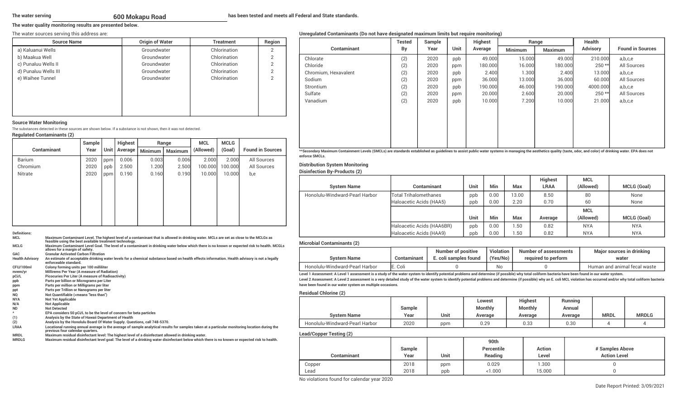## **The water quality monitoring results are presented below.**

### The water sources serving this address are:

| <b>Source Name</b>   | <b>Origin of Water</b> | <b>Treatment</b> | Region        |
|----------------------|------------------------|------------------|---------------|
| a) Kaluanui Wells    | Groundwater            | Chlorination     | 2             |
| b) Maakua Well       | Groundwater            | Chlorination     | C             |
| c) Punaluu Wells II  | Groundwater            | Chlorination     | っ             |
| d) Punaluu Wells III | Groundwater            | Chlorination     | C             |
| e) Waihee Tunnel     | Groundwater            | Chlorination     | $\mathcal{P}$ |
|                      |                        |                  |               |
|                      |                        |                  |               |
|                      |                        |                  |               |
|                      |                        |                  |               |
|                      |                        |                  |               |

### **Source Water Monitoring**

The substances detected in these sources are shown below. If a substance is not shown, then it was not detected. **Regulated Contaminants (2)**

|                    | Sample | <b>Highest</b> |         | Range          |                | <b>MCL</b> | <b>MCLG</b> |                         |
|--------------------|--------|----------------|---------|----------------|----------------|------------|-------------|-------------------------|
| <b>Contaminant</b> | Year   | Unit           | Average | <b>Minimum</b> | <b>Maximum</b> | (Allowed)  | (Goal)      | <b>Found in Sources</b> |
| Barium             | 2020   | ppm            | 0.006   | 0.003          | 0.006          | 2.000      | 2.000       | All Sources             |
| Chromium           | 2020   | ppb            | 2.500   | 1.200          | 2.500          | 100.000    | 100.000     | All Sources             |
| <b>Nitrate</b>     | 2020   | ppm            | 0.190   | 0.160          | 0.190          | 10.000     | 10.000      | b,e                     |
|                    |        |                |         |                |                |            |             |                         |
|                    |        |                |         |                |                |            |             |                         |
|                    |        |                |         |                |                |            |             |                         |
|                    |        |                |         |                |                |            |             |                         |
|                    |        |                |         |                |                |            |             |                         |
|                    |        |                |         |                |                |            |             |                         |
|                    |        |                |         |                |                |            |             |                         |

### **Definitions:MCL Maximum Contaminant Level. The highest level of a contaminant that is allowed in drinking water. MCLs are set as close to the MCLGs as**

|                        | feasible using the best available treatment technology.                                                                                                                            |
|------------------------|------------------------------------------------------------------------------------------------------------------------------------------------------------------------------------|
| <b>MCLG</b>            | Maximum Contaminant Level Goal. The level of a contaminant in drinking water below which there is no known or expected risk to health. MCGLs<br>allows for a margin of safety.     |
| GAC                    | <b>Granular Activated Carbon Filtration</b>                                                                                                                                        |
| <b>Health Advisory</b> | An estimate of acceptable drinking water levels for a chemical substance based on health effects information. Health advisory is not a legally<br>enforceable standard.            |
| CFU/100ml              | Colony forming units per 100 milliliter                                                                                                                                            |
| mrem/yr                | Millirems Per Year (A measure of Radiation)                                                                                                                                        |
| pCi/L                  | <b>Picocuries Per Liter (A measure of Radioactivity)</b>                                                                                                                           |
| ppb                    | Parts per billion or Micrograms per Liter                                                                                                                                          |
| ppm                    | Parts per million or Milligrams per liter                                                                                                                                          |
| ppt                    | Parts per Trillion or Nanograms per liter                                                                                                                                          |
| <b>NQ</b>              | Not Quantifiable ( <means "less="" td="" than")<=""></means>                                                                                                                       |
| <b>NYA</b>             | <b>Not Yet Applicable</b>                                                                                                                                                          |
| N/A                    | <b>Not Applicable</b>                                                                                                                                                              |
| <b>ND</b>              | <b>Not Detected</b>                                                                                                                                                                |
|                        | EPA considers 50 pCi/L to be the level of concern for beta particles                                                                                                               |
| (1)                    | Analysis by the State of Hawaii Department of Health                                                                                                                               |
| (2)                    | Analysis by the Honolulu Board Of Water Supply. Questions, call 748-5370.                                                                                                          |
| LRAA                   | Locational running annual average is the average of sample analytical results for samples taken at a particular monitoring location during the<br>previous four calendar quarters. |
|                        |                                                                                                                                                                                    |

**MRDLMaximum residual disinfectant level: The highest level of a disinfectant allowed in drinking water.**

**MRDLGMaximum residual disinfectant level goal: The level of a drinking water disinfectant below which there is no known or expected risk to health.**

## **Unregulated Contaminants (Do not have designated maximum limits but require monitoring)**

|                      | <b>Tested</b> | Sample |      | <b>Highest</b> | Range          |                | Health          |                         |
|----------------------|---------------|--------|------|----------------|----------------|----------------|-----------------|-------------------------|
| <b>Contaminant</b>   | By            | Year   | Unit | Average        | <b>Minimum</b> | <b>Maximum</b> | <b>Advisory</b> | <b>Found in Sources</b> |
| Chlorate             | (2)           | 2020   | ppb  | 49.000         | 15.000         | 49.000         | 210.000         | a,b,c,e                 |
| Chloride             | (2)           | 2020   | ppm  | 180,000        | 16,000         | 180.000        | $250**$         | All Sources             |
| Chromium, Hexavalent | (2)           | 2020   | ppb  | 2.400          | 1.300          | 2.400          | 13,000          | a,b,c,e                 |
| Sodium               | (2)           | 2020   | ppm  | 36,000         | 13,000         | 36,000         | 60.000          | All Sources             |
| Strontium            | (2)           | 2020   | ppb  | 190.000        | 46,000         | 190.000        | 4000.000        | a,b,c,e                 |
| Sulfate              | (2)           | 2020   | ppm  | 20,000         | 2.600          | 20,000         | $250**$         | All Sources             |
| Vanadium             | (2)           | 2020   | ppb  | 10.000         | 7.200          | 10.000         | 21.000          | a,b,c,e                 |
|                      |               |        |      |                |                |                |                 |                         |
|                      |               |        |      |                |                |                |                 |                         |
|                      |               |        |      |                |                |                |                 |                         |
|                      |               |        |      |                |                |                |                 |                         |
|                      |               |        |      |                |                |                |                 |                         |
|                      |               |        |      |                |                |                |                 |                         |

**\*\*Secondary Maximum Containment Levels (SMCLs) are standards established as guidelines to assist public water systems in managing the aesthetics quality (taste, odor, and color) of drinking water. EPA does not enforce SMCLs.**

# **Distribution System Monitoring**

# **Disinfection By-Products (2)**

|                                |                              |      |      |            | <b>Highest</b> | <b>MCL</b> |                    |
|--------------------------------|------------------------------|------|------|------------|----------------|------------|--------------------|
| <b>System Name</b>             | <b>Contaminant</b>           | Unit | Min  | Max        | <b>LRAA</b>    | (Allowed)  | <b>MCLG (Goal)</b> |
| Honolulu-Windward-Pearl Harbor | <b>Total Trihalomethanes</b> | ppb  | 0.00 | 13.00      | 8.50           | 80         | None               |
|                                | Haloacetic Acids (HAA5)      | ppb  | 0.00 | 2.20       | 0.70           | 60         | None               |
|                                |                              |      |      |            |                | <b>MCL</b> |                    |
|                                |                              | Unit | Min  | <b>Max</b> | Average        | (Allowed)  | <b>MCLG (Goal)</b> |
|                                | Haloacetic Acids (HAA6BR)    | ppb  | 0.00 | 1.50       | 0.82           | <b>NYA</b> | <b>NYA</b>         |
|                                | Haloacetic Acids (HAA9)      | ppb  | 0.00 | .50        | 0.82           | <b>NYA</b> | <b>NYA</b>         |

### **Microbial Contaminants (2)**

| <b>System Name</b>                                                                                                                                                                                  | Contaminant | <b>Number of positive</b><br>E. coli samples found | Violation<br>(Yes/No) | Number of assessments<br>required to perform | Major sources in drinking<br>water |  |  |  |
|-----------------------------------------------------------------------------------------------------------------------------------------------------------------------------------------------------|-------------|----------------------------------------------------|-----------------------|----------------------------------------------|------------------------------------|--|--|--|
| Honolulu-Windward-Pearl Harbor                                                                                                                                                                      | E. Coli     |                                                    | No                    |                                              | Human and animal fecal waste       |  |  |  |
| Level 1 Assessment: A Level 1 assessment is a study of the water system to identify potential problems and determine (if possible) why total coliform bacteria have been found in our water system. |             |                                                    |                       |                                              |                                    |  |  |  |

Level 2 Assessment: A Level 2 assessment is a very detailed study of the water system to identify potential problems and determine (if possible) why an E. coli MCL violation has occurred and/or why total coliform bacteria **have been found in our water system on multiple occasions.**

### **Residual Chlorine (2)**

|                                | Sample |      | Lowest<br><b>Monthly</b> | <b>Highest</b><br><b>Monthly</b> | Running<br>Annual |             |              |
|--------------------------------|--------|------|--------------------------|----------------------------------|-------------------|-------------|--------------|
| <b>System Name</b>             | Year   | Unit | Average                  | Average                          | Average           | <b>MRDL</b> | <b>MRDLG</b> |
| Honolulu-Windward-Pearl Harbor | 2020   | ppm  | 0.29                     | 0.33                             | 0.30              |             |              |

### **Lead/Copper Testing (2)**

|             |        |      | 90th       |        |                     |
|-------------|--------|------|------------|--------|---------------------|
|             | Sample |      | Percentile | Action | # Samples Above     |
| Contaminant | Year   | Unit | Reading    | Level  | <b>Action Level</b> |
| Copper      | 2018   | ppm  | 0.029      | .300   |                     |
| Lead        | 2018   | ppb  | < 1.000    | 15.000 |                     |

No violations found for calendar year 2020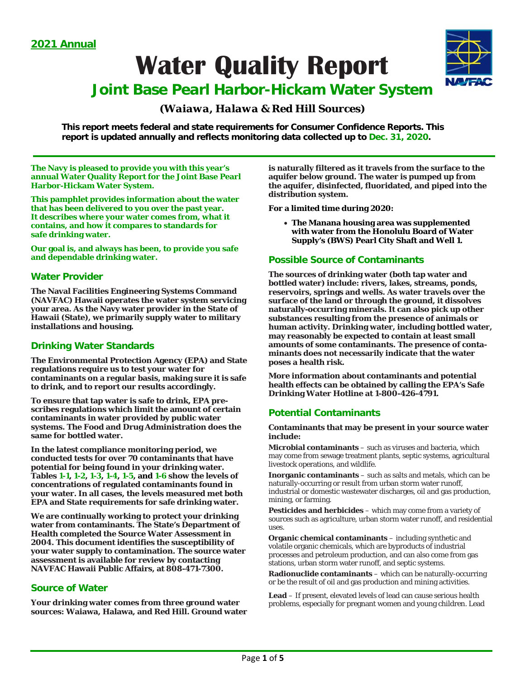**Water Quality Report** 



# **Joint Base Pearl Harbor-Hickam Water System**

# *(Waiawa, Halawa & Red Hill Sources)*

**This report meets federal and state requirements for Consumer Confidence Reports. This report is updated annually and reflects monitoring data collected up to Dec. 31, 2020.** 

**The Navy is pleased to provide you with this year's annual Water Quality Report for the Joint Base Pearl Harbor-Hickam Water System.** 

**This pamphlet provides information about the water that has been delivered to you over the past year. It describes where your water comes from, what it contains, and how it compares to standards for safe drinking water.** 

**Our goal is, and always has been, to provide you safe and dependable drinking water.** 

# **Water Provider**

**The Naval Facilities Engineering Systems Command (NAVFAC) Hawaii operates the water system servicing your area. As the Navy water provider in the State of Hawaii (State), we primarily supply water to military installations and housing.** 

# **Drinking Water Standards**

**The Environmental Protection Agency (EPA) and State regulations require us to test your water for contaminants on a regular basis, making sure it is safe to drink, and to report our results accordingly.** 

**To ensure that tap water is safe to drink, EPA prescribes regulations which limit the amount of certain contaminants in water provided by public water systems. The Food and Drug Administration does the same for bottled water.** 

**In the latest compliance monitoring period, we conducted tests for over 70 contaminants that have potential for being found in your drinking water. Tables 1-1, 1-2, 1-3, 1-4, 1-5, and 1-6 show the levels of concentrations of regulated contaminants found in your water. In all cases, the levels measured met both EPA and State requirements for safe drinking water.** 

**We are continually working to protect your drinking water from contaminants. The State's Department of Health completed the Source Water Assessment in 2004. This document identifies the susceptibility of your water supply to contamination. The source water assessment is available for review by contacting NAVFAC Hawaii Public Affairs, at 808-471-7300.** 

# **Source of Water**

**Your drinking water comes from three ground water sources: Waiawa, Halawa, and Red Hill. Ground water**  **is naturally filtered as it travels from the surface to the aquifer below ground. The water is pumped up from the aquifer, disinfected, fluoridated, and piped into the distribution system.** 

**For a limited time during 2020:** 

 **The Manana housing area was supplemented with water from the Honolulu Board of Water Supply's (BWS) Pearl City Shaft and Well 1.**

# **Possible Source of Contaminants**

**The sources of drinking water (both tap water and bottled water) include: rivers, lakes, streams, ponds, reservoirs, springs and wells. As water travels over the surface of the land or through the ground, it dissolves naturally-occurring minerals. It can also pick up other substances resulting from the presence of animals or human activity. Drinking water, including bottled water, may reasonably be expected to contain at least small amounts of some contaminants. The presence of contaminants does not necessarily indicate that the water poses a health risk.** 

**More information about contaminants and potential health effects can be obtained by calling the EPA's Safe Drinking Water Hotline at 1-800-426-4791.** 

# **Potential Contaminants**

# **Contaminants that may be present in your source water include:**

**Microbial contaminants** – such as viruses and bacteria, which may come from sewage treatment plants, septic systems, agricultural livestock operations, and wildlife.

**Inorganic contaminants** – such as salts and metals, which can be naturally-occurring or result from urban storm water runoff, industrial or domestic wastewater discharges, oil and gas production, mining, or farming.

**Pesticides and herbicides** – which may come from a variety of sources such as agriculture, urban storm water runoff, and residential uses.

**Organic chemical contaminants** – including synthetic and volatile organic chemicals, which are byproducts of industrial processes and petroleum production, and can also come from gas stations, urban storm water runoff, and septic systems.

**Radionuclide contaminants** – which can be naturally-occurring or be the result of oil and gas production and mining activities.

**Lead** – If present, elevated levels of lead can cause serious health problems, especially for pregnant women and young children. Lead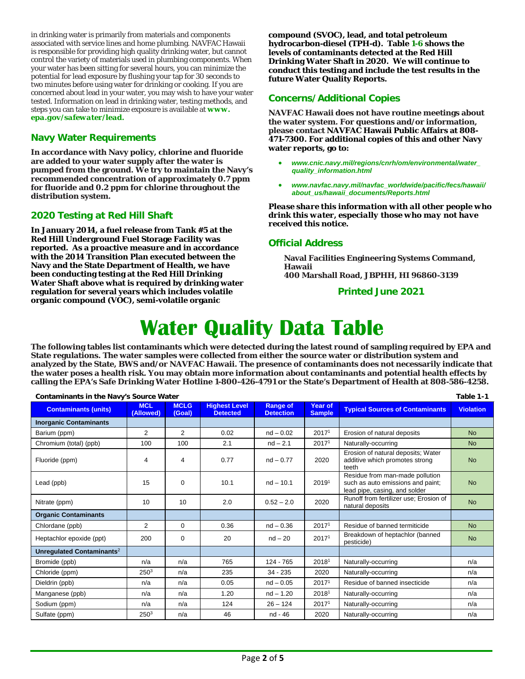in drinking water is primarily from materials and components associated with service lines and home plumbing. NAVFAC Hawaii is responsible for providing high quality drinking water, but cannot control the variety of materials used in plumbing components. When your water has been sitting for several hours, you can minimize the potential for lead exposure by flushing your tap for 30 seconds to two minutes before using water for drinking or cooking. If you are concerned about lead in your water, you may wish to have your water tested. Information on lead in drinking water, testing methods, and steps you can take to minimize exposure is available at *www. epa.gov/safewater/lead.* 

# **Navy Water Requirements**

**In accordance with Navy policy, chlorine and fluoride are added to your water supply after the water is pumped from the ground. We try to maintain the Navy's recommended concentration of approximately 0.7 ppm for fluoride and 0.2 ppm for chlorine throughout the distribution system.** 

# **2020 Testing at Red Hill Shaft**

**In January 2014, a fuel release from Tank #5 at the Red Hill Underground Fuel Storage Facility was reported. As a proactive measure and in accordance with the 2014 Transition Plan executed between the Navy and the State Department of Health, we have been conducting testing at the Red Hill Drinking Water Shaft above what is required by drinking water regulation for several years which includes volatile organic compound (VOC), semi-volatile organic** 

**compound (SVOC), lead, and total petroleum hydrocarbon-diesel (TPH-d). Table 1-6 shows the levels of contaminants detected at the Red Hill Drinking Water Shaft in 2020. We will continue to conduct this testing and include the test results in the future Water Quality Reports.** 

# **Concerns/Additional Copies**

**NAVFAC Hawaii does not have routine meetings about the water system. For questions and/or information, please contact NAVFAC Hawaii Public Affairs at 808- 471-7300. For additional copies of this and other Navy water reports, go to:** 

- *www.cnic.navy.mil/regions/cnrh/om/environmental/water\_ quality\_information.html*
- *www.navfac.navy.mil/navfac\_worldwide/pacific/fecs/hawaii/ about\_us/hawaii\_documents/Reports.html*

*Please share this information with all other people who drink this water, especially those who may not have received this notice.* 

# **Official Address**

**Naval Facilities Engineering Systems Command, Hawaii 400 Marshall Road, JBPHH, HI 96860-3139**

**Printed June 2021** 

# **Water Quality Data Table**

**The following tables list contaminants which were detected during the latest round of sampling required by EPA and State regulations. The water samples were collected from either the source water or distribution system and analyzed by the State, BWS and/or NAVFAC Hawaii. The presence of contaminants does not necessarily indicate that the water poses a health risk. You may obtain more information about contaminants and potential health effects by calling the EPA's Safe Drinking Water Hotline 1-800-426-4791 or the State's Department of Health at 808-586-4258.** 

| Table 1-1<br><b>Contaminants in the Navy's Source Water</b> |                         |                       |                                         |                                     |                                 |                                                                                                       |                  |  |  |  |  |
|-------------------------------------------------------------|-------------------------|-----------------------|-----------------------------------------|-------------------------------------|---------------------------------|-------------------------------------------------------------------------------------------------------|------------------|--|--|--|--|
| <b>Contaminants (units)</b>                                 | <b>MCL</b><br>(Allowed) | <b>MCLG</b><br>(Goal) | <b>Highest Level</b><br><b>Detected</b> | <b>Range of</b><br><b>Detection</b> | <b>Year of</b><br><b>Sample</b> | <b>Typical Sources of Contaminants</b>                                                                | <b>Violation</b> |  |  |  |  |
| <b>Inorganic Contaminants</b>                               |                         |                       |                                         |                                     |                                 |                                                                                                       |                  |  |  |  |  |
| Barium (ppm)                                                | $\overline{2}$          | $\overline{2}$        | 0.02                                    | $nd - 0.02$                         | 2017 <sup>1</sup>               | Erosion of natural deposits                                                                           | <b>No</b>        |  |  |  |  |
| Chromium (total) (ppb)                                      | 100                     | 100                   | 2.1                                     | $nd - 2.1$                          | 20171                           | Naturally-occurring                                                                                   | <b>No</b>        |  |  |  |  |
| Fluoride (ppm)                                              | 4                       | 4                     | 0.77                                    | $nd - 0.77$                         | 2020                            | Erosion of natural deposits; Water<br>additive which promotes strong<br>teeth                         | <b>No</b>        |  |  |  |  |
| Lead (ppb)                                                  | 15                      | 0                     | 10.1                                    | $nd - 10.1$                         | 20191                           | Residue from man-made pollution<br>such as auto emissions and paint;<br>lead pipe, casing, and solder | <b>No</b>        |  |  |  |  |
| Nitrate (ppm)                                               | 10                      | 10                    | 2.0                                     | $0.52 - 2.0$                        | 2020                            | Runoff from fertilizer use; Erosion of<br>natural deposits                                            | <b>No</b>        |  |  |  |  |
| <b>Organic Contaminants</b>                                 |                         |                       |                                         |                                     |                                 |                                                                                                       |                  |  |  |  |  |
| Chlordane (ppb)                                             | $\overline{2}$          | $\Omega$              | 0.36                                    | $nd - 0.36$                         | 2017 <sup>1</sup>               | Residue of banned termiticide                                                                         | <b>No</b>        |  |  |  |  |
| Heptachlor epoxide (ppt)                                    | 200                     | 0                     | 20                                      | $nd - 20$                           | 2017 <sup>1</sup>               | Breakdown of heptachlor (banned<br>pesticide)                                                         | <b>No</b>        |  |  |  |  |
| Unregulated Contaminants <sup>2</sup>                       |                         |                       |                                         |                                     |                                 |                                                                                                       |                  |  |  |  |  |
| Bromide (ppb)                                               | n/a                     | n/a                   | 765                                     | 124 - 765                           | 20181                           | Naturally-occurring                                                                                   | n/a              |  |  |  |  |
| Chloride (ppm)                                              | 250 <sup>3</sup>        | n/a                   | 235                                     | $34 - 235$                          | 2020                            | Naturally-occurring                                                                                   | n/a              |  |  |  |  |
| Dieldrin (ppb)                                              | n/a                     | n/a                   | 0.05                                    | $nd - 0.05$                         | 20171                           | Residue of banned insecticide                                                                         | n/a              |  |  |  |  |
| Manganese (ppb)                                             | n/a                     | n/a                   | 1.20                                    | $nd - 1.20$                         | 20181                           | Naturally-occurring                                                                                   | n/a              |  |  |  |  |
| Sodium (ppm)                                                | n/a                     | n/a                   | 124                                     | $26 - 124$                          | 2017 <sup>1</sup>               | Naturally-occurring                                                                                   | n/a              |  |  |  |  |
| Sulfate (ppm)                                               | 2503                    | n/a                   | 46                                      | nd - 46                             | 2020                            | Naturally-occurring                                                                                   | n/a              |  |  |  |  |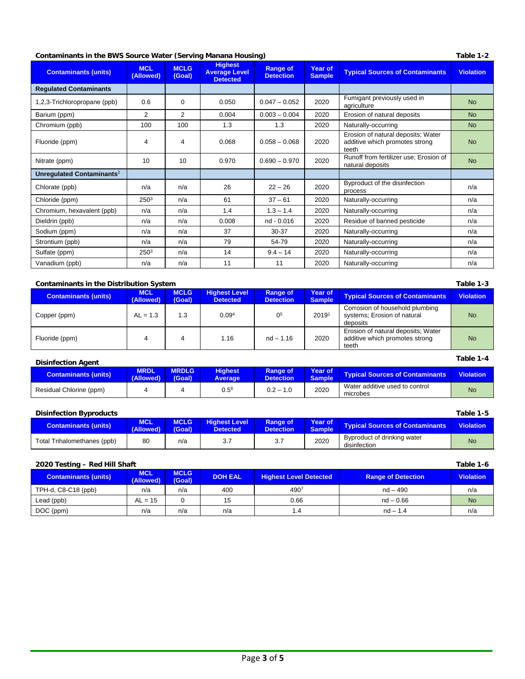# **Contaminants in the BWS Source Water (Serving Manana Housing) Table 1-2 Table 1-2 Table 1-2**

| <b>Contaminants (units)</b>           | <b>MCL</b><br>(Allowed) | <b>MCLG</b><br>(Goal) | <b>Highest</b><br><b>Average Level</b><br><b>Detected</b> | <b>Range of</b><br><b>Detection</b> | Year of<br><b>Sample</b> | <b>Typical Sources of Contaminants</b>                                        | <b>Violation</b> |
|---------------------------------------|-------------------------|-----------------------|-----------------------------------------------------------|-------------------------------------|--------------------------|-------------------------------------------------------------------------------|------------------|
| <b>Regulated Contaminants</b>         |                         |                       |                                                           |                                     |                          |                                                                               |                  |
| 1,2,3-Trichloropropane (ppb)          | 0.6                     | 0                     | 0.050                                                     | $0.047 - 0.052$                     | 2020                     | Fumigant previously used in<br>agriculture                                    | <b>No</b>        |
| Barium (ppm)                          | 2                       | 2                     | 0.004                                                     | $0.003 - 0.004$                     | 2020                     | Erosion of natural deposits                                                   | <b>No</b>        |
| Chromium (ppb)                        | 100                     | 100                   | 1.3                                                       | 1.3                                 | 2020                     | Naturally-occurring                                                           | <b>No</b>        |
| Fluoride (ppm)                        | 4                       | 4                     | 0.068                                                     | $0.058 - 0.068$                     | 2020                     | Erosion of natural deposits; Water<br>additive which promotes strong<br>teeth | <b>No</b>        |
| Nitrate (ppm)                         | 10                      | 10                    | 0.970                                                     | $0.690 - 0.970$                     | 2020                     | Runoff from fertilizer use; Erosion of<br>natural deposits                    | <b>No</b>        |
| Unregulated Contaminants <sup>2</sup> |                         |                       |                                                           |                                     |                          |                                                                               |                  |
| Chlorate (ppb)                        | n/a                     | n/a                   | 26                                                        | $22 - 26$                           | 2020                     | Byproduct of the disinfection<br>process                                      | n/a              |
| Chloride (ppm)                        | 250 <sup>3</sup>        | n/a                   | 61                                                        | $37 - 61$                           | 2020                     | Naturally-occurring                                                           | n/a              |
| Chromium, hexavalent (ppb)            | n/a                     | n/a                   | 1.4                                                       | $1.3 - 1.4$                         | 2020                     | Naturally-occurring                                                           | n/a              |
| Dieldrin (ppb)                        | n/a                     | n/a                   | 0.008                                                     | nd - 0.016                          | 2020                     | Residue of banned pesticide                                                   | n/a              |
| Sodium (ppm)                          | n/a                     | n/a                   | 37                                                        | $30 - 37$                           | 2020                     | Naturally-occurring                                                           | n/a              |
| Strontium (ppb)                       | n/a                     | n/a                   | 79                                                        | 54-79                               | 2020                     | Naturally-occurring                                                           | n/a              |
| Sulfate (ppm)                         | 2503                    | n/a                   | 14                                                        | $9.4 - 14$                          | 2020                     | Naturally-occurring                                                           | n/a              |
| Vanadium (ppb)                        | n/a                     | n/a                   | 11                                                        | 11                                  | 2020                     | Naturally-occurring                                                           | n/a              |

# **Contaminants in the Distribution System Table 1-3**

| Containmants in the Distribution System<br>14 JUNE 1-3<br><b>MCLG</b><br><b>Highest Level</b><br><b>MCL</b><br>Year of<br><b>Range of</b><br><b>Typical Sources of Contaminants</b><br><b>Contaminants (units)</b><br><b>Sample</b><br>(Allowed)<br>(Goal)<br><b>Detected</b><br><b>Detection</b><br>Corrosion of household plumbing<br>05 |            |     |                   |             |       |                                                                               |                  |  |
|--------------------------------------------------------------------------------------------------------------------------------------------------------------------------------------------------------------------------------------------------------------------------------------------------------------------------------------------|------------|-----|-------------------|-------------|-------|-------------------------------------------------------------------------------|------------------|--|
|                                                                                                                                                                                                                                                                                                                                            |            |     |                   |             |       |                                                                               | <b>Violation</b> |  |
| Copper (ppm)                                                                                                                                                                                                                                                                                                                               | $AL = 1.3$ | 1.3 | 0.09 <sup>4</sup> |             | 20191 | systems; Erosion of natural<br>deposits                                       | No.              |  |
| Fluoride (ppm)                                                                                                                                                                                                                                                                                                                             |            | 4   | 1.16              | $nd - 1.16$ | 2020  | Erosion of natural deposits; Water<br>additive which promotes strong<br>teeth | <b>No</b>        |  |

| <b>Disinfection Agent</b>   |                          |                        |                                  |                                     |                          |                                            |                  |  |
|-----------------------------|--------------------------|------------------------|----------------------------------|-------------------------------------|--------------------------|--------------------------------------------|------------------|--|
| <b>Contaminants (units)</b> | <b>MRDL</b><br>(Allowed) | <b>MRDLG</b><br>(Goal) | <b>Highest</b><br><b>Average</b> | <b>Range of</b><br><b>Detection</b> | Year of<br><b>Sample</b> | <b>Typical Sources of Contaminants</b>     | <b>Violation</b> |  |
| Residual Chlorine (ppm)     |                          |                        | $0.5^6$                          | $0.2 - 1.0$                         | 2020                     | Water additive used to control<br>microbes | <b>No</b>        |  |

| <b>Disinfection Byproducts</b> |                         |                       |                                         |                                     |                          |                                             | Table 1-5        |
|--------------------------------|-------------------------|-----------------------|-----------------------------------------|-------------------------------------|--------------------------|---------------------------------------------|------------------|
| <b>Contaminants (units)</b>    | <b>MCL</b><br>(Allowed) | <b>MCLG</b><br>(Goal) | <b>Highest Level</b><br><b>Detected</b> | <b>Range of</b><br><b>Detection</b> | Year of<br><b>Sample</b> | <b>Typical Sources of Contaminants</b>      | <b>Violation</b> |
| Total Trihalomethanes (ppb)    | 80                      | n/a                   | 3.7                                     | 3.7                                 | 2020                     | Byproduct of drinking water<br>disinfection | <b>No</b>        |

# **2020 Testing – Red Hill Shaft Table 1-6**

| <b>Contaminants (units)</b> | <b>MCL</b><br>(Allowed) | <b>MCLG</b><br>(Goal) | <b>DOH EAL</b> | <b>Highest Level Detected</b> | <b>Range of Detection</b> | <b>Violation</b> |
|-----------------------------|-------------------------|-----------------------|----------------|-------------------------------|---------------------------|------------------|
| TPH-d, C8-C18 (ppb)         | n/a                     | n/a                   | 400            | 4907                          | $nd - 490$                | n/a              |
| Lead (ppb)                  | $AL = 15$               |                       | 15             | 0.66                          | $nd - 0.66$               | <b>No</b>        |
| DOC (ppm)                   | n/a                     | n/a                   | n/a            |                               | $nd - 1.4$                | n/a              |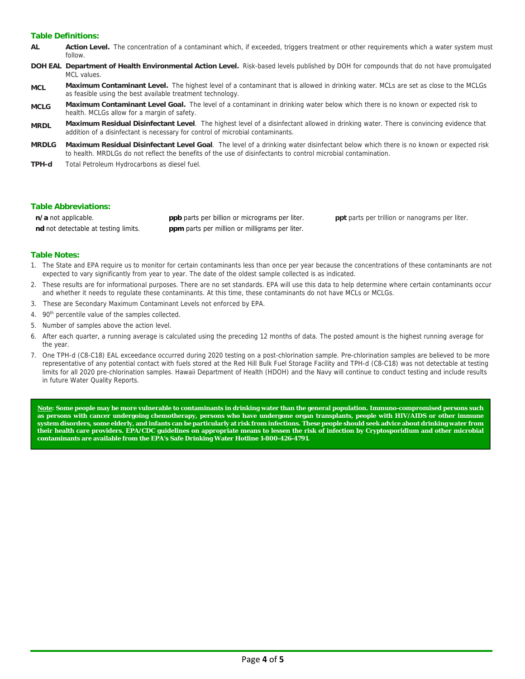# **Table Definitions:**

- **AL Action Level.** The concentration of a contaminant which, if exceeded, triggers treatment or other requirements which a water system must follow.
- **DOH EAL Department of Health Environmental Action Level.** Risk-based levels published by DOH for compounds that do not have promulgated MCL values
- **MCL Maximum Contaminant Level.** The highest level of a contaminant that is allowed in drinking water. MCLs are set as close to the MCLGs as feasible using the best available treatment technology.
- **MCLG Maximum Contaminant Level Goal.** The level of a contaminant in drinking water below which there is no known or expected risk to health. MCLGs allow for a margin of safety.
- **MRDL Maximum Residual Disinfectant Level**. The highest level of a disinfectant allowed in drinking water. There is convincing evidence that addition of a disinfectant is necessary for control of microbial contaminants.
- **MRDLG Maximum Residual Disinfectant Level Goal**. The level of a drinking water disinfectant below which there is no known or expected risk to health. MRDLGs do not reflect the benefits of the use of disinfectants to control microbial contamination.
- **TPH-d** Total Petroleum Hydrocarbons as diesel fuel.

# **Table Abbreviations:**

| n/a not applicable.                  | <b>ppb</b> parts per billion or micrograms per liter. |
|--------------------------------------|-------------------------------------------------------|
| nd not detectable at testing limits. | <b>ppm</b> parts per million or milligrams per liter. |

**ppt** parts per trillion or nanograms per liter.

# **Table Notes:**

- 1. The State and EPA require us to monitor for certain contaminants less than once per year because the concentrations of these contaminants are not expected to vary significantly from year to year. The date of the oldest sample collected is as indicated.
- 2. These results are for informational purposes. There are no set standards. EPA will use this data to help determine where certain contaminants occur and whether it needs to regulate these contaminants. At this time, these contaminants do not have MCLs or MCLGs.
- 3. These are Secondary Maximum Contaminant Levels not enforced by EPA.
- 4. 90<sup>th</sup> percentile value of the samples collected.
- 5. Number of samples above the action level.
- 6. After each quarter, a running average is calculated using the preceding 12 months of data. The posted amount is the highest running average for the year.
- 7. One TPH-d (C8-C18) EAL exceedance occurred during 2020 testing on a post-chlorination sample. Pre-chlorination samples are believed to be more representative of any potential contact with fuels stored at the Red Hill Bulk Fuel Storage Facility and TPH-d (C8-C18) was not detectable at testing limits for all 2020 pre-chlorination samples. Hawaii Department of Health (HDOH) and the Navy will continue to conduct testing and include results in future Water Quality Reports.

**Note: Some people may be more vulnerable to contaminants in drinking water than the general population. Immuno-compromised persons such as persons with cancer undergoing chemotherapy, persons who have undergone organ transplants, people with HIV/AIDS or other immune system disorders, some elderly, and infants can be particularly at risk from infections. These people should seek advice about drinking water from their health care providers. EPA/CDC guidelines on appropriate means to lessen the risk of infection by Cryptosporidium and other microbial contaminants are available from the EPA's Safe Drinking Water Hotline 1-800-426-4791.**